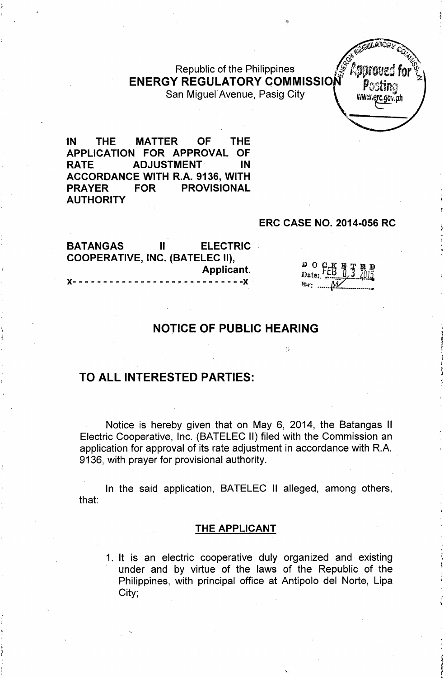Republic of the Philippines **ENERGY REGULATORY COMMISSION** San Miguel Avenue, Pasig City **With Containing the Case of Avenue** 



IN THE MATTER OF THE APPLICATION FOR APPROVAL OF RATE ADJUSTMENT IN ACCORDANCE WITH R.A. 9136, WITH PRAYER FOR PROVISIONAL AUTHORITY

#### ERC CASE NO. 2014-056 RC

| <b>BATANGAS</b>                 | $\mathbf{H}$ | <b>ELECTRIC</b>                           |
|---------------------------------|--------------|-------------------------------------------|
| COOPERATIVE, INC. (BATELEC II), |              |                                           |
|                                 |              | Applicant.                                |
|                                 |              | X---------------------------- <b>-</b> X- |

| . . |  |     | J |
|-----|--|-----|---|
| ⋰   |  | W15 |   |
|     |  |     |   |

## NOTICE OF PUBLIC HEARING

 $\frac{1}{2}$ 

#### TO ALL INTERESTED PARTIES:

Notice is hereby given that on May 6, 2014, the Batangas II Electric Cooperative, Inc. (BATELEC II) filed with the Commission an application for approval of its rate adjustment in accordance with R.A. 9136, with prayer for provisional authority.

In the said application, BATELEC II alleged, among others, that:

#### THE APPLICANT

1. It is an electric cooperative duly organized and existing under and by virtue of the laws of the Republic of the Philippines, with principal office at Antipolo del Norte, Lipa City;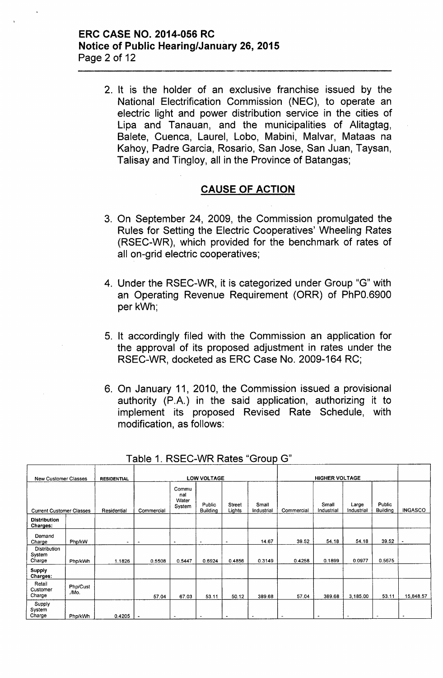#### **ERC CASE NO. 2014-056 RC Notice of Public Hearing/January 26, 2015** Page 2 of 12

2. It is the holder of an exclusive franchise issued by the National Electrification Commission (NEC), to operate an electric light and power distribution service in the cities of Lipa and Tanauan, and the municipalities of Alitagtag, Balete, Cuenca, Laurel, Lobo, Mabini, Malvar, Mataas na Kahoy, Padre Garcia, Rosario, San Jose, San Juan, Taysan, Talisay and Tingloy, all in the Province of Batangas;

#### **CAUSE OF ACTION**

- 3. On September 24, 2009, the Commission promulgated the Rules for Setting the Electric Cooperatives' Wheeling Rates (RSEC-WR), which provided for the benchmark of rates of all on-grid electric cooperatives;
- 4. Under the RSEC-WR, it is categorized under Group "G" with an Operating Revenue Requirement (ORR) of PhPO.6900 per kWh;
- 5. It accordingly filed with the Commission an application for the approval of its proposed adjustment in rates under the RSEC-WR, docketed as ERC Case No. 2009-164 RC;
- 6. On January 11, 2010, the Commission issued a provisional authority (P.A.) in the said application, authorizing it to implement its proposed Revised Rate Schedule, with modification, as follows:

| <b>New Customer Classes</b>             |                   | <b>RESIDENTIAL</b> |            |                                 | <b>LOW VOLTAGE</b>        |                         |                     |                | <b>HIGHER VOLTAGE</b> |                     |                           |                          |
|-----------------------------------------|-------------------|--------------------|------------|---------------------------------|---------------------------|-------------------------|---------------------|----------------|-----------------------|---------------------|---------------------------|--------------------------|
| <b>Current Customer Classes</b>         |                   | Residential        | Commercial | Commu<br>nal<br>Water<br>System | Public<br><b>Building</b> | <b>Street</b><br>Lights | Small<br>Industrial | Commercial     | Small<br>Industrial   | Large<br>Industrial | Public<br><b>Building</b> | <b>INGASCO</b>           |
| <b>Distribution</b><br>Charges:         |                   |                    |            |                                 |                           |                         |                     |                |                       |                     |                           |                          |
| Demand<br>Charge                        | Php/kW            | ۰                  | $\cdot$    | $\overline{a}$                  | $\cdot$                   | ٠                       | 14.67               | 39.52          | 54.18                 | 54.18               | 39.52                     | $\overline{\phantom{a}}$ |
| <b>Distribution</b><br>System<br>Charge | Php/kWh           | 1.1826             | 0.5508     | 0.5447                          | 0.6924                    | 0.4856                  | 0.3149              | 0.4258         | 0.1899                | 0.0977              | 0.5675                    |                          |
| Supply<br>Charges:                      |                   |                    |            |                                 |                           |                         |                     |                |                       |                     |                           |                          |
| Retail<br>Customer<br>Charge            | Php/Cust<br>./Mo. |                    | 57.04      | 67.03                           | 53.11                     | 50.12                   | 389.68              | 57.04          | 389.68                | 3,185.00            | 53.11                     | 15,848.57                |
| Supply<br>System<br>Charge              | Php/kWh           | 0.4205             | $\bullet$  | $\overline{\phantom{a}}$        | $\blacksquare$            | $\bullet$               | $\cdot$             | $\blacksquare$ | ٠                     |                     |                           | $\overline{\phantom{a}}$ |

Table 1. RSEC-WR Rates "Group G"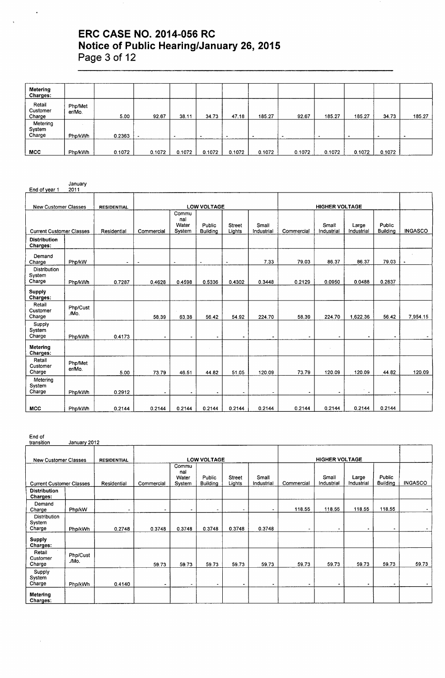# **ERC CASE NO. 2014-056 RC Notice of Public Hearing/January 26, 2015 Page 3 of 12**

| Metering<br>Charges:         |                   |        |        |        |        |        |        |        |        |        |        |        |
|------------------------------|-------------------|--------|--------|--------|--------|--------|--------|--------|--------|--------|--------|--------|
| Retail<br>Customer<br>Charge | Php/Met<br>er/Mo. | 5.00   | 92.67  | 38.11  | 34.73  | 47.18  | 185.27 | 92.67  | 185.27 | 185.27 | 34.73  | 185.27 |
| Metering<br>System<br>Charge | Php/kWh           | 0.2363 |        |        | -      |        |        |        |        |        |        |        |
| MCC                          | Php/kWh           | 0.1072 | 0.1072 | 0.1072 | 0.1072 | 0.1072 | 0.1072 | 0.1072 | 0.1072 | 0.1072 | 0.1072 |        |

| End of year 1                           | January<br>2011   |                    |                |                                 |                           |                         |                     |            |                       |                     |                           |                |
|-----------------------------------------|-------------------|--------------------|----------------|---------------------------------|---------------------------|-------------------------|---------------------|------------|-----------------------|---------------------|---------------------------|----------------|
|                                         |                   |                    |                |                                 |                           |                         |                     |            |                       |                     |                           |                |
| <b>New Customer Classes</b>             |                   | <b>RESIDENTIAL</b> |                |                                 | <b>LOW VOLTAGE</b>        |                         |                     |            | <b>HIGHER VOLTAGE</b> |                     |                           |                |
| <b>Current Customer Classes</b>         |                   | Residential        | Commercial     | Commu<br>nal<br>Water<br>System | Public<br><b>Building</b> | <b>Street</b><br>Lights | Small<br>Industrial | Commercial | Small<br>Industrial   | Large<br>Industrial | Public<br><b>Building</b> | <b>INGASCO</b> |
| <b>Distribution</b><br>Charges:         |                   |                    |                |                                 |                           |                         |                     |            |                       |                     |                           |                |
| Demand<br>Charge                        | Php/kW            | $\blacksquare$     | $\bullet$      | $\tilde{\phantom{a}}$           | $\blacksquare$            | $\sim$                  | 7.33                | 79.03      | 86.37                 | 86.37               | 79.03                     |                |
| <b>Distribution</b><br>System<br>Charge | Php/kWh           | 0.7287             | 0.4628         | 0.4598                          | 0.5336                    | 0.4302                  | 0.3448              | 0.2129     | 0.0950                | 0.0488              | 0.2837                    |                |
| Supply<br>Charges:                      |                   |                    |                |                                 |                           |                         |                     |            |                       |                     |                           |                |
| Retail<br>Customer<br>Charge            | Php/Cust<br>./Mo. |                    | 58.39          | 63.38                           | 56.42                     | 54.92                   | 224.70              | 58.39      | 224.70                | 1,622.36            | 56.42                     | 7,954.15       |
| Supply<br>System<br>Charge              | Php/kWh           | 0.4173             | $\blacksquare$ | $\overline{\phantom{a}}$        |                           | $\hat{\phantom{a}}$     | $\bullet$           | $\bullet$  |                       |                     | ٠                         |                |
| Metering<br>Charges:                    |                   |                    |                |                                 |                           |                         |                     |            |                       |                     |                           |                |
| Retail<br>Customer<br>Charge            | Php/Met<br>er/Mo. | 5.00               | 73.79          | 46.51                           | 44.82                     | 51.05                   | 120.09              | 73.79      | 120.09                | 120.09              | 44.82                     | 120.09         |
| Metering<br>System<br>Charge            | Php/kWh           | 0.2912             |                | $\blacksquare$                  | ۰                         | $\cdot$                 | $\blacksquare$      | $\bullet$  |                       |                     |                           |                |
| <b>MCC</b>                              | Php/kWh           | 0.2144             | 0.2144         | 0.2144                          | 0.2144                    | 0.2144                  | 0.2144              | 0.2144     | 0.2144                | 0.2144              | 0.2144                    |                |

End of

 $\bar{z}$ 

| transition                              | January 2012      |                    |                |                                 |                           |                         |                     |            |                       |                     |                           |                |
|-----------------------------------------|-------------------|--------------------|----------------|---------------------------------|---------------------------|-------------------------|---------------------|------------|-----------------------|---------------------|---------------------------|----------------|
| <b>New Customer Classes</b>             |                   | <b>RESIDENTIAL</b> |                |                                 | <b>LOW VOLTAGE</b>        |                         |                     |            | <b>HIGHER VOLTAGE</b> |                     |                           |                |
| <b>Current Customer Classes</b>         |                   | Residential        | Commercial     | Commu<br>nal<br>Water<br>System | Public<br><b>Building</b> | <b>Street</b><br>Lights | Small<br>Industrial | Commercial | Small<br>Industrial   | Large<br>Industrial | Public<br><b>Building</b> | <b>INGASCO</b> |
| <b>Distribution</b><br>Charges:         |                   |                    |                |                                 |                           |                         |                     |            |                       |                     |                           |                |
| Demand<br>Charge                        | Php/kW            | ۰                  | $\blacksquare$ | $\bullet$                       | $\blacksquare$            | -                       | $\blacksquare$      | 118.55     | 118.55                | 118.55              | 118.55                    |                |
| <b>Distribution</b><br>System<br>Charge | Php/kWh           | 0.2748             | 0.3748         | 0.3748                          | 0.3748                    | 0.3748                  | 0.3748              |            |                       | ۰                   | $\bullet$                 |                |
| <b>Supply</b><br>Charges:               |                   |                    |                |                                 |                           |                         |                     |            |                       |                     |                           |                |
| Retail<br>Customer<br>Charge            | Php/Cust<br>./Mo. |                    | 59.73          | 59.73                           | 59.73                     | 59.73                   | 59.73               | 59.73      | 59.73                 | 59.73               | 59.73                     | 59.73          |
| Supply<br>System<br>Charge              | Php/kWh           | 0.4140             |                | $\sim$                          | ۰                         | ۰                       | $\bullet$           | ۰          | ٠                     | $\blacksquare$      | $\tilde{\phantom{a}}$     | $\blacksquare$ |
| Metering<br>Charges:                    |                   |                    |                |                                 |                           |                         |                     |            |                       |                     |                           |                |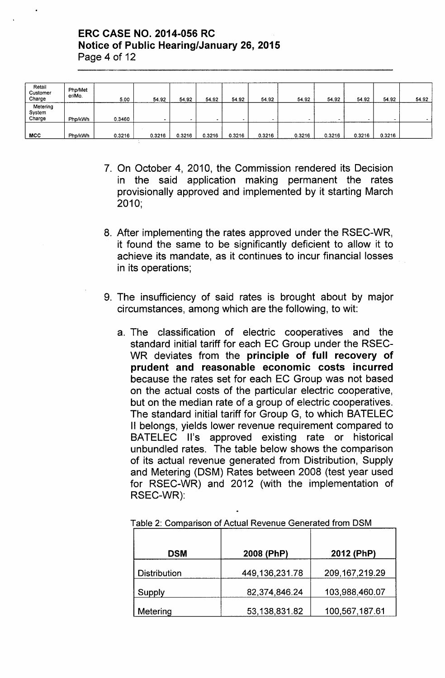## ERC CASE NO. 2014-056 RC Notice of Public Hearing/January 26, 2015 Page 4 of 12

| Retail<br>Customer<br>Charge | Php/Met<br>er/Mo. | 5.00   | 54.92  | 54.92  | 54.92  | 54.92  | 54.92  | 54.92  | 54.92  | 54.92  | 54.92  | 54.92 |
|------------------------------|-------------------|--------|--------|--------|--------|--------|--------|--------|--------|--------|--------|-------|
| Metering<br>System<br>Charge | Php/kWh           | 0.3460 |        |        |        |        |        |        |        |        |        |       |
| MCC                          | Php/kWh           | 0.3216 | 0.3216 | 0.3216 | 0.3216 | 0.3216 | 0.3216 | 0.3216 | 0.3216 | 0.3216 | 0.3216 |       |

- 7. On October 4, 2010, the Commission rendered its Decision in the said application making permanent the rates provisionally approved and implemented by it starting March 2010;
- 8. After implementing the rates approved under the RSEC-WR, it found the same to be significantly deficient to allow it to achieve its mandate, as it continues to incur financial losses in its operations;
- 9. The insufficiency of said rates is brought about by major circumstances, among which are the following, to wit:
	- a. The classification of electric cooperatives and the standard initial tariff for each EC Group under the RSEC-WR deviates from the principle of full recovery of prudent and reasonable economic costs incurred because the rates set for each EC Group was not based on the actual costs of the particular electric cooperative, but on the median rate of a group of electric cooperatives. The standard initial tariff for Group G, to which BATELEC II belongs, yields lower revenue requirement compared to BATELEC II's approved existing rate or historical unbundled rates. The table below shows the comparison of its actual revenue generated from Distribution, Supply and Metering (DSM) Rates between 2008 (test year used for RSEC-WR) and 2012 (with the implementation of RSEC-WR):

| <b>DSM</b>          | 2008 (PhP)     | 2012 (PhP)        |
|---------------------|----------------|-------------------|
| <b>Distribution</b> | 449,136,231.78 | 209, 167, 219. 29 |
| Supply              | 82,374,846.24  | 103,988,460.07    |
| Metering            | 53,138,831.82  | 100,567,187.61    |

Table 2: Comparison of Actual Revenue Generated from DSM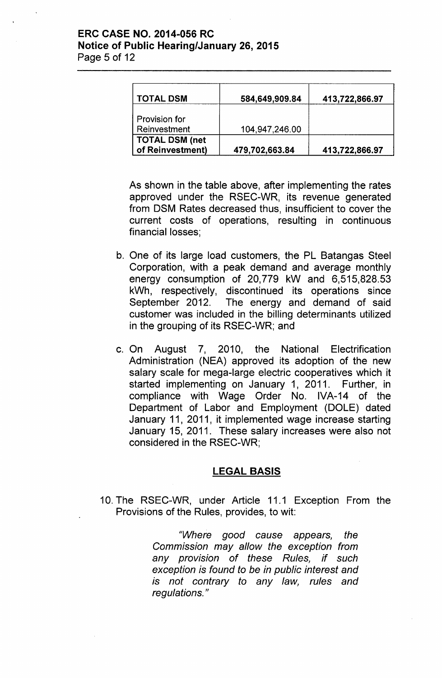## ERC CASE NO. 2014-056 RC Notice of Public Hearing/January 26, 2015 Page 5 of 12

| <b>TOTAL DSM</b>                          | 584,649,909.84 | 413,722,866.97 |
|-------------------------------------------|----------------|----------------|
| Provision for<br>Reinvestment             | 104,947,246.00 |                |
| <b>TOTAL DSM (net</b><br>of Reinvestment) | 479,702,663.84 | 413,722,866.97 |

As shown in the table above, after implementing the rates approved under the RSEC-WR, its revenue generated from DSM Rates decreased thus, insufficient to cover the current costs of operations, resulting in continuous financial losses;

- b. One of its large load customers, the PL Batangas Steel Corporation, with a peak demand and average monthly energy consumption of 20,779 kW and 6,515,828.53 kWh, respectively, discontinued its operations since September 2012. The energy and demand of said customer was included in the billing determinants utilized in the grouping of its RSEC-WR; and
- c. On August 7, 2010, the National Electrification Administration (NEA) approved its adoption of the new salary scale for mega-large electric cooperatives which it started implementing on January 1, 2011. Further, in compliance with Wage Order No. IVA-14 of the Department of Labor and Employment (DOLE) dated January 11, 2011, it implemented wage increase starting January 15, 2011. These salary increases were also not considered in the RSEC-WR;

## LEGAL BASIS

10. The RSEC-WR, under Article 11.1 Exception From the Provisions of the Rules, provides, to wit:

> *"Where good cause appears, the Commission may allow the exception from any provision* of *these Rules, if such exception is found to be in public interest and is not contrary to any law, rules and regulations. "*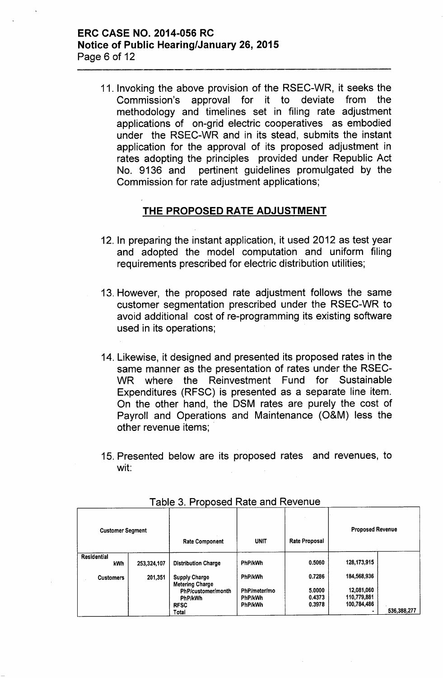## ERC CASE NO. 2014-056 RC Notice of Public Hearing/January 26, 2015 Page 6 of 12

11. Invoking the above provision of the RSEC-WR, it seeks the Commission's approval for it to deviate from the methodology and timelines set in filing rate adjustment applications of on-grid electric cooperatives as embodied under the RSEC-WR and in its stead, submits the instant application for the approval of its proposed adjustment in rates adopting the principles provided under Republic Act No. 9136 and pertinent guidelines promulgated by the Commission for rate adjustment applications;

# THE PROPOSED RATE ADJUSTMENT

- 12. In preparing the instant application, it used 2012 as test year and adopted the model computation and uniform filing requirements prescribed for electric distribution utilities;
- 13. However, the proposed rate adjustment follows the same customer segmentation prescribed under the RSEC-WR to avoid additional cost of re-programming its existing software used in its operations;
- 14. Likewise, it designed and presented its proposed rates in the same manner as the presentation of rates under the RSEC-WR where the Reinvestment Fund for Sustainable Expenditures (RFSC) is presented as a separate line item. On the other hand, the DSM rates are purely the cost of Payroll and Operations and Maintenance (O&M) less the other revenue items; .
- 15. Presented below are its proposed rates and revenues, to wit:

| <b>Customer Segment</b> |             | <b>Rate Component</b>                          | <b>UNIT</b>  | <b>Rate Proposal</b> | <b>Proposed Revenue</b> |             |
|-------------------------|-------------|------------------------------------------------|--------------|----------------------|-------------------------|-------------|
| Residential<br>kWh      | 253,324,107 | <b>Distribution Charge</b>                     | PhP/kWh      | 0.5060               | 128, 173, 915           |             |
| <b>Customers</b>        | 201,351     | <b>Supply Charge</b><br><b>Metering Charge</b> | PhP/kWh      | 0.7286               | 184,568,936             |             |
|                         |             | PhP/customer/month                             | PhP/meter/mo | 5.0000               | 12,081,060              |             |
|                         |             | <b>PhP/kWh</b>                                 | PhP/kWh      | 0.4373               | 110,779,881             |             |
|                         |             | <b>RFSC</b>                                    | PhP/kWh      | 0.3978               | 100,784,486             |             |
|                         |             | Total                                          |              |                      |                         | 536,388,277 |

Table 3. Proposed Rate and Revenue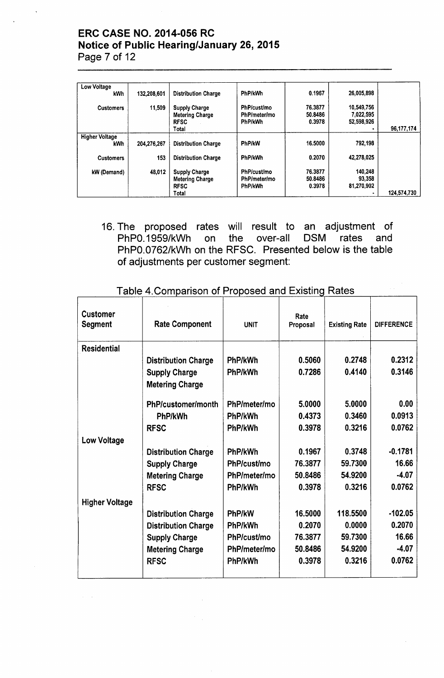# ERC CASE NO. 2014-056 RC Notice of Public Hearing/January 26, 2015 Page 7 of 12

| Low Voltage<br>kWh                  | 132,208,601 | <b>Distribution Charge</b>                                             | PhP/kWh                                | 0.1967                       | 26,005,898                            |             |
|-------------------------------------|-------------|------------------------------------------------------------------------|----------------------------------------|------------------------------|---------------------------------------|-------------|
| <b>Customers</b>                    | 11.509      | <b>Supply Charge</b><br><b>Metering Charge</b><br><b>RFSC</b><br>Total | PhP/cust/mo<br>PhP/meter/mo<br>PhP/kWh | 76.3877<br>50.8486<br>0.3978 | 10,549,756<br>7,022,595<br>52,598,926 | 96,177,174  |
| <b>Higher Voltage</b><br><b>kWh</b> | 204,276,267 | <b>Distribution Charge</b>                                             | <b>PhP/kW</b>                          | 16.5000                      | 792,198                               |             |
| <b>Customers</b>                    | 153         | <b>Distribution Charge</b>                                             | <b>PhP/kWh</b>                         | 0.2070                       | 42,278,025                            |             |
| kW (Demand)                         | 48,012      | <b>Supply Charge</b><br><b>Metering Charge</b><br><b>RFSC</b><br>Total | PhP/cust/mo<br>PhP/meter/mo<br>PhP/kWh | 76.3877<br>50.8486<br>0.3978 | 140,248<br>93.358<br>81,270,902<br>٠  | 124.574.730 |

16. The proposed rates will result to an adjustment of PhPO.1959/kWh on the over-all DSM rates and PhPO.0762/kWh on the RFSC. Presented below is the table of adjustments per customer segment:

| <b>Customer</b><br>Segment | <b>Rate Component</b>      | <b>UNIT</b>    | Rate<br>Proposal | <b>Existing Rate</b> | <b>DIFFERENCE</b> |
|----------------------------|----------------------------|----------------|------------------|----------------------|-------------------|
| <b>Residential</b>         |                            |                |                  |                      |                   |
|                            | <b>Distribution Charge</b> | <b>PhP/kWh</b> | 0.5060           | 0.2748               | 0.2312            |
|                            | <b>Supply Charge</b>       | <b>PhP/kWh</b> | 0.7286           | 0.4140               | 0.3146            |
|                            | <b>Metering Charge</b>     |                |                  |                      |                   |
|                            | PhP/customer/month         | PhP/meter/mo   | 5.0000           | 5.0000               | 0.00              |
|                            | PhP/kWh                    | PhP/kWh        | 0.4373           | 0.3460               | 0.0913            |
|                            | <b>RFSC</b>                | PhP/kWh        | 0.3978           | 0.3216               | 0.0762            |
| <b>Low Voltage</b>         |                            |                |                  |                      |                   |
|                            | <b>Distribution Charge</b> | PhP/kWh        | 0.1967           | 0.3748               | $-0.1781$         |
|                            | <b>Supply Charge</b>       | PhP/cust/mo    | 76.3877          | 59.7300              | 16.66             |
|                            | <b>Metering Charge</b>     | PhP/meter/mo   | 50.8486          | 54.9200              | $-4.07$           |
|                            | <b>RFSC</b>                | PhP/kWh        | 0.3978           | 0.3216               | 0.0762            |
| <b>Higher Voltage</b>      |                            |                |                  |                      |                   |
|                            | <b>Distribution Charge</b> | PhP/kW         | 16.5000          | 118.5500             | $-102.05$         |
|                            | <b>Distribution Charge</b> | PhP/kWh        | 0.2070           | 0.0000               | 0.2070            |
|                            | <b>Supply Charge</b>       | PhP/cust/mo    | 76.3877          | 59.7300              | 16.66             |
|                            | <b>Metering Charge</b>     | PhP/meter/mo   | 50.8486          | 54.9200              | $-4.07$           |
|                            | <b>RFSC</b>                | PhP/kWh        | 0.3978           | 0.3216               | 0.0762            |
|                            |                            |                |                  |                      |                   |

## Table 4. Comparison of Proposed and Existing Rates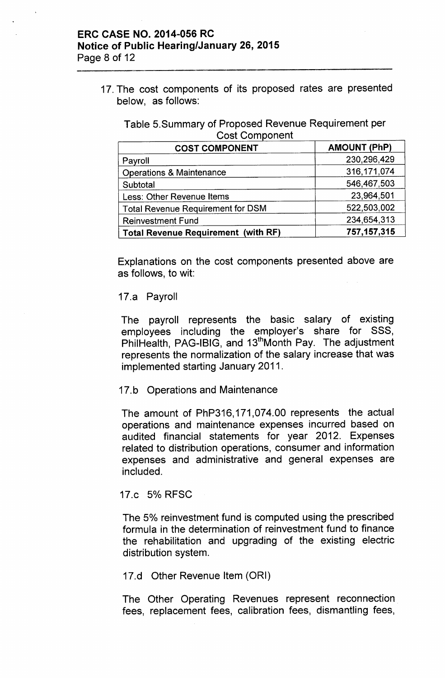#### ERC CASE NO. 2014-056 RC Notice of Public Hearing/January 26, 2015 Page 8 of 12

17. The cost components of its proposed rates are presented below, as follows:

Table 5.Summary of Proposed Revenue Requirement per **Cost Component** 

| <b>COST COMPONENT</b>                      | <b>AMOUNT (PhP)</b> |
|--------------------------------------------|---------------------|
| Payroll                                    | 230,296,429         |
| <b>Operations &amp; Maintenance</b>        | 316, 171, 074       |
| Subtotal                                   | 546,467,503         |
| Less: Other Revenue Items                  | 23,964,501          |
| <b>Total Revenue Requirement for DSM</b>   | 522,503,002         |
| <b>Reinvestment Fund</b>                   | 234,654,313         |
| <b>Total Revenue Requirement (with RF)</b> | 757, 157, 315       |

Explanations on the cost components presented above are as follows, to wit:

#### 17.a Payroll

The payroll represents the basic salary of existing employees including the employer's share for SSS, PhilHealth, PAG-IBIG, and 13<sup>th</sup>Month Pay. The adjustment represents the normalization of the salary increase that was implemented starting January 2011.

#### 17.b Operations and Maintenance

The amount of PhP316, 171,074.00 represents the actual operations and maintenance expenses incurred based on audited financial statements for year 2012. Expenses related to distribution operations, consumer and information expenses and administrative and general expenses are included.

## 17.c 5% RFSC

The 5% reinvestment fund is computed using the prescribed formula in the determination of reinvestment fund to finance the rehabilitation and upgrading of the existing electric distribution system.

#### 17.d Other Revenue Item (ORI)

The Other Operating Revenues represent reconnection fees, replacement fees, calibration fees, dismantling fees,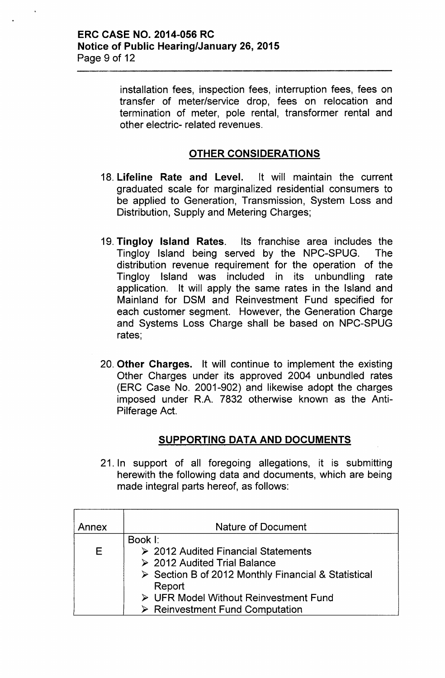#### ERC CASE NO. 2014-056 RC Notice of Public Hearing/January 26, 2015 Page 9 of 12

installation fees, inspection fees, interruption fees, fees on transfer of meter/service drop, fees on relocation and termination of meter, pole rental, transformer rental and other electric- related revenues.

## OTHER CONSIDERATIONS

- 18. Lifeline Rate and Level. It will maintain the current graduated scale for marginalized residential consumers to be applied to Generation, Transmission, System Loss and Distribution, Supply and Metering Charges;
- 19. Tingloy Island Rates. Its franchise area includes the Tingloy Island being served by the NPC-SPUG. The distribution revenue requirement for the operation of the Tingloy Island was included in its unbundling rate application. It will apply the same rates in the Island and Mainland for DSM and Reinvestment Fund specified for each customer segment. However, the Generation Charge and Systems Loss Charge shall be based on NPC-SPUG rates;
- 20. Other Charges. It will continue to implement the existing Other Charges under its approved 2004 unbundled rates (ERC Case No. 2001-902) and likewise adopt the charges imposed under R.A. 7832 otherwise known as the Anti-Pilferage Act.

## SUPPORTING DATA AND DOCUMENTS

21. In support of all foregoing allegations, it is submitting herewith the following data and documents, which are being made integral parts hereof, as follows:

| Annex | <b>Nature of Document</b>                                          |  |  |
|-------|--------------------------------------------------------------------|--|--|
|       | Book I:                                                            |  |  |
| E.    | $\geq$ 2012 Audited Financial Statements                           |  |  |
|       | $\geq$ 2012 Audited Trial Balance                                  |  |  |
|       | $\triangleright$ Section B of 2012 Monthly Financial & Statistical |  |  |
|       | Report                                                             |  |  |
|       | ▶ UFR Model Without Reinvestment Fund                              |  |  |
|       | $\triangleright$ Reinvestment Fund Computation                     |  |  |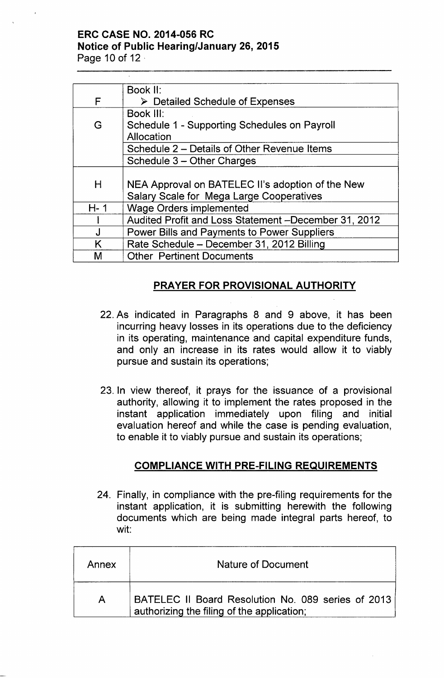# **ERC CASE NO. 2014-056 RC Notice of Public Hearing/January 26, 2015**

Page 10 of 12 '

|         | Book II:                                             |
|---------|------------------------------------------------------|
| F       | $\triangleright$ Detailed Schedule of Expenses       |
|         | Book III:                                            |
| G       | Schedule 1 - Supporting Schedules on Payroll         |
|         | Allocation                                           |
|         | Schedule 2 – Details of Other Revenue Items          |
|         | Schedule 3 – Other Charges                           |
|         |                                                      |
| Н       | NEA Approval on BATELEC II's adoption of the New     |
|         | Salary Scale for Mega Large Cooperatives             |
| $H - 1$ | <b>Wage Orders implemented</b>                       |
|         | Audited Profit and Loss Statement -December 31, 2012 |
|         | Power Bills and Payments to Power Suppliers          |
| K       | Rate Schedule - December 31, 2012 Billing            |
| M       | <b>Other Pertinent Documents</b>                     |

# **PRAYER FOR PROVISIONAL AUTHORITY**

- 22. As indicated in Paragraphs 8 and 9 above, it has been incurring heavy losses in its operations due to the deficiency in its operating, maintenance and capital expenditure funds, and only an increase in its rates would allow it to viably pursue and sustain its operations;
- 23. In view thereof, it prays for the issuance of a provisional authority, allowing it to implement the rates proposed in the instant application immediately upon filing and initial evaluation hereof and while the case is pending evaluation, to enable it to viably pursue and sustain its operations;

# **COMPLIANCE WITH PRE-FILING REQUIREMENTS**

24. Finally, in compliance with the pre-filing requirements for the instant application, it is submitting herewith the following documents which are being made integral parts hereof, to wit:

| Annex | Nature of Document                                                                               |  |  |
|-------|--------------------------------------------------------------------------------------------------|--|--|
|       | BATELEC II Board Resolution No. 089 series of 2013<br>authorizing the filing of the application; |  |  |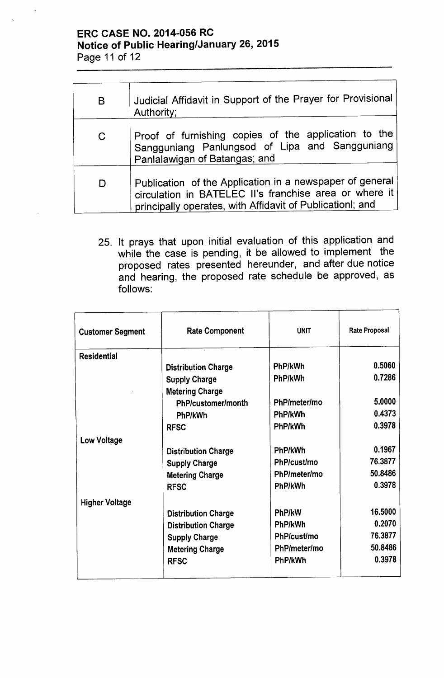# **ERC CASE NO. 2014-056 RC Notice of Public Hearing/January 26, 2015** Page 11 of 12

| B            | Judicial Affidavit in Support of the Prayer for Provisional<br>Authority:                                                                                                       |
|--------------|---------------------------------------------------------------------------------------------------------------------------------------------------------------------------------|
| $\mathsf{C}$ | Proof of furnishing copies of the application to the<br>Sangguniang Panlungsod of Lipa and Sangguniang<br>Panlalawigan of Batangas; and                                         |
| D            | Publication of the Application in a newspaper of general<br>circulation in BATELEC II's franchise area or where it<br>principally operates, with Affidavit of Publicationl; and |

25. It prays that upon initial evaluation of this application and while the case is pending, it be allowed to implement the proposed rates presented hereunder, and after due notice and hearing, the proposed rate schedule be approved, as follows:

| <b>Customer Segment</b> | <b>Rate Component</b>      | <b>UNIT</b>  | <b>Rate Proposal</b> |
|-------------------------|----------------------------|--------------|----------------------|
| <b>Residential</b>      |                            |              |                      |
|                         | <b>Distribution Charge</b> | PhP/kWh      | 0.5060               |
|                         | <b>Supply Charge</b>       | PhP/kWh      | 0.7286               |
|                         | <b>Metering Charge</b>     |              |                      |
|                         | PhP/customer/month         | PhP/meter/mo | 5.0000               |
|                         | PhP/kWh                    | PhP/kWh      | 0.4373               |
|                         | <b>RFSC</b>                | PhP/kWh      | 0.3978               |
| <b>Low Voltage</b>      |                            |              |                      |
|                         | <b>Distribution Charge</b> | PhP/kWh      | 0.1967               |
|                         | <b>Supply Charge</b>       | PhP/cust/mo  | 76.3877              |
|                         | <b>Metering Charge</b>     | PhP/meter/mo | 50.8486              |
|                         | <b>RFSC</b>                | PhP/kWh      | 0.3978               |
| <b>Higher Voltage</b>   |                            |              |                      |
|                         | <b>Distribution Charge</b> | PhP/kW       | 16.5000              |
|                         | <b>Distribution Charge</b> | PhP/kWh      | 0.2070               |
|                         | <b>Supply Charge</b>       | PhP/cust/mo  | 76.3877              |
|                         | <b>Metering Charge</b>     | PhP/meter/mo | 50.8486              |
|                         | <b>RFSC</b>                | PhP/kWh      | 0.3978               |